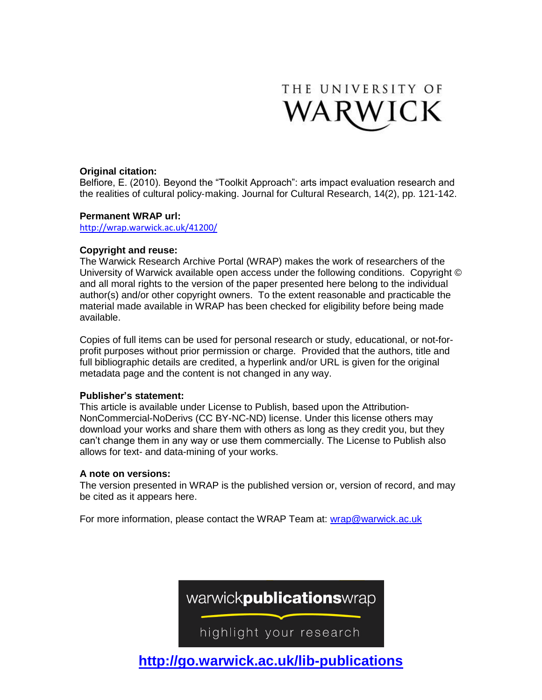

## **Original citation:**

Belfiore, E. (2010). Beyond the "Toolkit Approach": arts impact evaluation research and the realities of cultural policy‐making. Journal for Cultural Research, 14(2), pp. 121-142.

## **Permanent WRAP url:**

<http://wrap.warwick.ac.uk/41200/>

## **Copyright and reuse:**

The Warwick Research Archive Portal (WRAP) makes the work of researchers of the University of Warwick available open access under the following conditions. Copyright © and all moral rights to the version of the paper presented here belong to the individual author(s) and/or other copyright owners. To the extent reasonable and practicable the material made available in WRAP has been checked for eligibility before being made available.

Copies of full items can be used for personal research or study, educational, or not-forprofit purposes without prior permission or charge. Provided that the authors, title and full bibliographic details are credited, a hyperlink and/or URL is given for the original metadata page and the content is not changed in any way.

#### **Publisher's statement:**

This article is available under License to Publish, based upon the Attribution-NonCommercial-NoDerivs (CC BY-NC-ND) license. Under this license others may download your works and share them with others as long as they credit you, but they can't change them in any way or use them commercially. The License to Publish also allows for text- and data-mining of your works.

## **A note on versions:**

The version presented in WRAP is the published version or, version of record, and may be cited as it appears here.

For more information, please contact the WRAP Team at: [wrap@warwick.ac.uk](mailto:wrap@warwick.ac.uk)

warwickpublicationswrap

highlight your research

**http://go.warwick.ac.uk/lib-publications**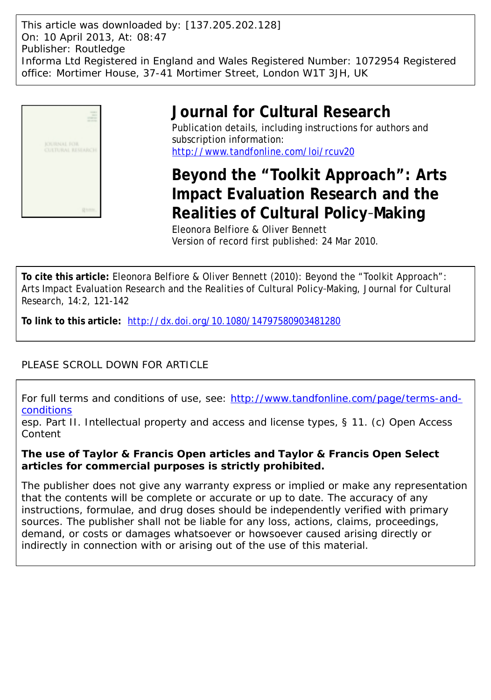This article was downloaded by: [137.205.202.128] On: 10 April 2013, At: 08:47 Publisher: Routledge Informa Ltd Registered in England and Wales Registered Number: 1072954 Registered office: Mortimer House, 37-41 Mortimer Street, London W1T 3JH, UK



# **Journal for Cultural Research**

Publication details, including instructions for authors and subscription information: <http://www.tandfonline.com/loi/rcuv20>

**Beyond the "Toolkit Approach": Arts Impact Evaluation Research and the Realities of Cultural Policy**‐**Making**

Eleonora Belfiore & Oliver Bennett Version of record first published: 24 Mar 2010.

**To cite this article:** Eleonora Belfiore & Oliver Bennett (2010): Beyond the "Toolkit Approach": Arts Impact Evaluation Research and the Realities of Cultural Policy‐Making, Journal for Cultural Research, 14:2, 121-142

**To link to this article:** <http://dx.doi.org/10.1080/14797580903481280>

# PLEASE SCROLL DOWN FOR ARTICLE

For full terms and conditions of use, see: [http://www.tandfonline.com/page/terms-and](http://www.tandfonline.com/page/terms-and-conditions)[conditions](http://www.tandfonline.com/page/terms-and-conditions)

*esp.* Part II. Intellectual property and access and license types, § 11. (c) Open Access Content

**The use of Taylor & Francis Open articles and Taylor & Francis Open Select articles for commercial purposes is strictly prohibited.**

The publisher does not give any warranty express or implied or make any representation that the contents will be complete or accurate or up to date. The accuracy of any instructions, formulae, and drug doses should be independently verified with primary sources. The publisher shall not be liable for any loss, actions, claims, proceedings, demand, or costs or damages whatsoever or howsoever caused arising directly or indirectly in connection with or arising out of the use of this material.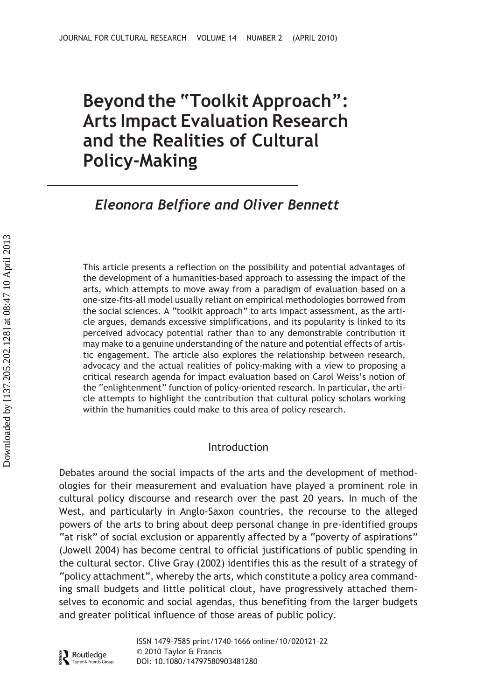# **Beyond the "Toolkit Approach": Arts Impact Evaluation Research and the Realities of Cultural Policy-Making**

# *Eleonora Belfiore and Oliver Bennett*

This article presents a reflection on the possibility and potential advantages of the development of a humanities-based approach to assessing the impact of the arts, which attempts to move away from a paradigm of evaluation based on a one-size-fits-all model usually reliant on empirical methodologies borrowed from the social sciences. A "toolkit approach" to arts impact assessment, as the article argues, demands excessive simplifications, and its popularity is linked to its perceived advocacy potential rather than to any demonstrable contribution it may make to a genuine understanding of the nature and potential effects of artistic engagement. The article also explores the relationship between research, advocacy and the actual realities of policy-making with a view to proposing a critical research agenda for impact evaluation based on Carol Weiss's notion of the "enlightenment" function of policy-oriented research. In particular, the article attempts to highlight the contribution that cultural policy scholars working within the humanities could make to this area of policy research.

#### Introduction

Debates around the social impacts of the arts and the development of methodologies for their measurement and evaluation have played a prominent role in cultural policy discourse and research over the past 20 years. In much of the West, and particularly in Anglo-Saxon countries, the recourse to the alleged powers of the arts to bring about deep personal change in pre-identified groups "at risk" of social exclusion or apparently affected by a "poverty of aspirations" (Jowell 2004) has become central to official justifications of public spending in the cultural sector. Clive Gray (2002) identifies this as the result of a strategy of "policy attachment", whereby the arts, which constitute a policy area commanding small budgets and little political clout, have progressively attached themselves to economic and social agendas, thus benefiting from the larger budgets and greater political influence of those areas of public policy.



ISSN 1479–7585 print/1740–1666 online/10/020121–22 © 2010 Taylor & Francis DOI: 10.1080/14797580903481280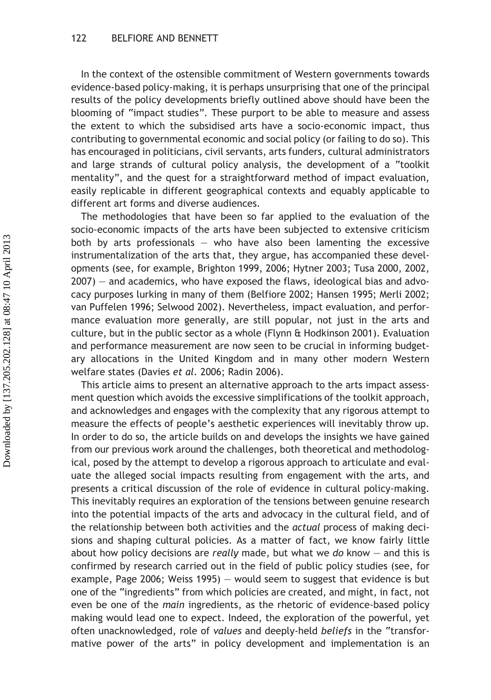In the context of the ostensible commitment of Western governments towards evidence-based policy-making, it is perhaps unsurprising that one of the principal results of the policy developments briefly outlined above should have been the blooming of "impact studies". These purport to be able to measure and assess the extent to which the subsidised arts have a socio-economic impact, thus contributing to governmental economic and social policy (or failing to do so). This has encouraged in politicians, civil servants, arts funders, cultural administrators and large strands of cultural policy analysis, the development of a "toolkit mentality", and the quest for a straightforward method of impact evaluation, easily replicable in different geographical contexts and equably applicable to different art forms and diverse audiences.

The methodologies that have been so far applied to the evaluation of the socio-economic impacts of the arts have been subjected to extensive criticism both by arts professionals — who have also been lamenting the excessive instrumentalization of the arts that, they argue, has accompanied these developments (see, for example, Brighton 1999, 2006; Hytner 2003; Tusa 2000, 2002,  $2007$  – and academics, who have exposed the flaws, ideological bias and advocacy purposes lurking in many of them (Belfiore 2002; Hansen 1995; Merli 2002; van Puffelen 1996; Selwood 2002). Nevertheless, impact evaluation, and performance evaluation more generally, are still popular, not just in the arts and culture, but in the public sector as a whole (Flynn & Hodkinson 2001). Evaluation and performance measurement are now seen to be crucial in informing budgetary allocations in the United Kingdom and in many other modern Western welfare states (Davies *et al.* 2006; Radin 2006).

This article aims to present an alternative approach to the arts impact assessment question which avoids the excessive simplifications of the toolkit approach, and acknowledges and engages with the complexity that any rigorous attempt to measure the effects of people's aesthetic experiences will inevitably throw up. In order to do so, the article builds on and develops the insights we have gained from our previous work around the challenges, both theoretical and methodological, posed by the attempt to develop a rigorous approach to articulate and evaluate the alleged social impacts resulting from engagement with the arts, and presents a critical discussion of the role of evidence in cultural policy-making. This inevitably requires an exploration of the tensions between genuine research into the potential impacts of the arts and advocacy in the cultural field, and of the relationship between both activities and the *actual* process of making decisions and shaping cultural policies. As a matter of fact, we know fairly little about how policy decisions are *really* made, but what we *do* know — and this is confirmed by research carried out in the field of public policy studies (see, for example, Page 2006; Weiss 1995) — would seem to suggest that evidence is but one of the "ingredients" from which policies are created, and might, in fact, not even be one of the *main* ingredients, as the rhetoric of evidence-based policy making would lead one to expect. Indeed, the exploration of the powerful, yet often unacknowledged, role of *values* and deeply-held *beliefs* in the "transformative power of the arts" in policy development and implementation is an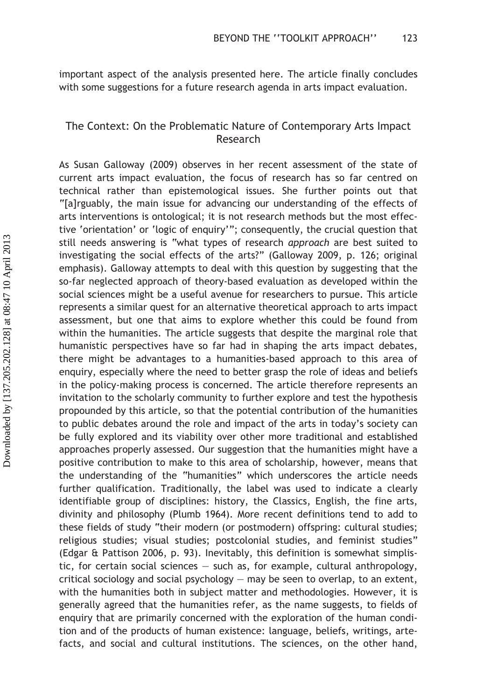important aspect of the analysis presented here. The article finally concludes with some suggestions for a future research agenda in arts impact evaluation.

#### The Context: On the Problematic Nature of Contemporary Arts Impact Research

As Susan Galloway (2009) observes in her recent assessment of the state of current arts impact evaluation, the focus of research has so far centred on technical rather than epistemological issues. She further points out that "[a]rguably, the main issue for advancing our understanding of the effects of arts interventions is ontological; it is not research methods but the most effective 'orientation' or 'logic of enquiry'"; consequently, the crucial question that still needs answering is "what types of research *approach* are best suited to investigating the social effects of the arts?" (Galloway 2009, p. 126; original emphasis). Galloway attempts to deal with this question by suggesting that the so-far neglected approach of theory-based evaluation as developed within the social sciences might be a useful avenue for researchers to pursue. This article represents a similar quest for an alternative theoretical approach to arts impact assessment, but one that aims to explore whether this could be found from within the humanities. The article suggests that despite the marginal role that humanistic perspectives have so far had in shaping the arts impact debates, there might be advantages to a humanities-based approach to this area of enquiry, especially where the need to better grasp the role of ideas and beliefs in the policy-making process is concerned. The article therefore represents an invitation to the scholarly community to further explore and test the hypothesis propounded by this article, so that the potential contribution of the humanities to public debates around the role and impact of the arts in today's society can be fully explored and its viability over other more traditional and established approaches properly assessed. Our suggestion that the humanities might have a positive contribution to make to this area of scholarship, however, means that the understanding of the "humanities" which underscores the article needs further qualification. Traditionally, the label was used to indicate a clearly identifiable group of disciplines: history, the Classics, English, the fine arts, divinity and philosophy (Plumb 1964). More recent definitions tend to add to these fields of study "their modern (or postmodern) offspring: cultural studies; religious studies; visual studies; postcolonial studies, and feminist studies" (Edgar & Pattison 2006, p. 93). Inevitably, this definition is somewhat simplistic, for certain social sciences — such as, for example, cultural anthropology, critical sociology and social psychology — may be seen to overlap, to an extent, with the humanities both in subject matter and methodologies. However, it is generally agreed that the humanities refer, as the name suggests, to fields of enquiry that are primarily concerned with the exploration of the human condition and of the products of human existence: language, beliefs, writings, artefacts, and social and cultural institutions. The sciences, on the other hand,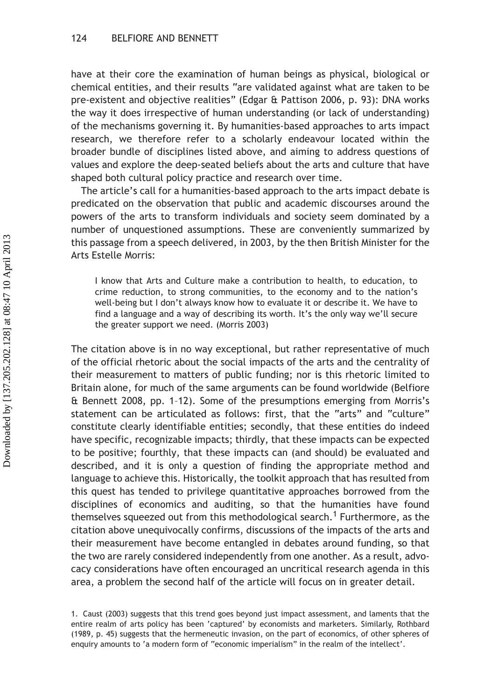have at their core the examination of human beings as physical, biological or chemical entities, and their results "are validated against what are taken to be pre-existent and objective realities" (Edgar & Pattison 2006, p. 93): DNA works the way it does irrespective of human understanding (or lack of understanding) of the mechanisms governing it. By humanities-based approaches to arts impact research, we therefore refer to a scholarly endeavour located within the broader bundle of disciplines listed above, and aiming to address questions of values and explore the deep-seated beliefs about the arts and culture that have shaped both cultural policy practice and research over time.

The article's call for a humanities-based approach to the arts impact debate is predicated on the observation that public and academic discourses around the powers of the arts to transform individuals and society seem dominated by a number of unquestioned assumptions. These are conveniently summarized by this passage from a speech delivered, in 2003, by the then British Minister for the Arts Estelle Morris:

I know that Arts and Culture make a contribution to health, to education, to crime reduction, to strong communities, to the economy and to the nation's well-being but I don't always know how to evaluate it or describe it. We have to find a language and a way of describing its worth. It's the only way we'll secure the greater support we need. (Morris 2003)

The citation above is in no way exceptional, but rather representative of much of the official rhetoric about the social impacts of the arts and the centrality of their measurement to matters of public funding; nor is this rhetoric limited to Britain alone, for much of the same arguments can be found worldwide (Belfiore & Bennett 2008, pp. 1–12). Some of the presumptions emerging from Morris's statement can be articulated as follows: first, that the "arts" and "culture" constitute clearly identifiable entities; secondly, that these entities do indeed have specific, recognizable impacts; thirdly, that these impacts can be expected to be positive; fourthly, that these impacts can (and should) be evaluated and described, and it is only a question of finding the appropriate method and language to achieve this. Historically, the toolkit approach that has resulted from this quest has tended to privilege quantitative approaches borrowed from the disciplines of economics and auditing, so that the humanities have found themselves squeezed out from this methodological search.<sup>1</sup> Furthermore, as the citation above unequivocally confirms, discussions of the impacts of the arts and their measurement have become entangled in debates around funding, so that the two are rarely considered independently from one another. As a result, advocacy considerations have often encouraged an uncritical research agenda in this area, a problem the second half of the article will focus on in greater detail.

<sup>1.</sup> Caust (2003) suggests that this trend goes beyond just impact assessment, and laments that the entire realm of arts policy has been 'captured' by economists and marketers. Similarly, Rothbard (1989, p. 45) suggests that the hermeneutic invasion, on the part of economics, of other spheres of enquiry amounts to 'a modern form of "economic imperialism" in the realm of the intellect'.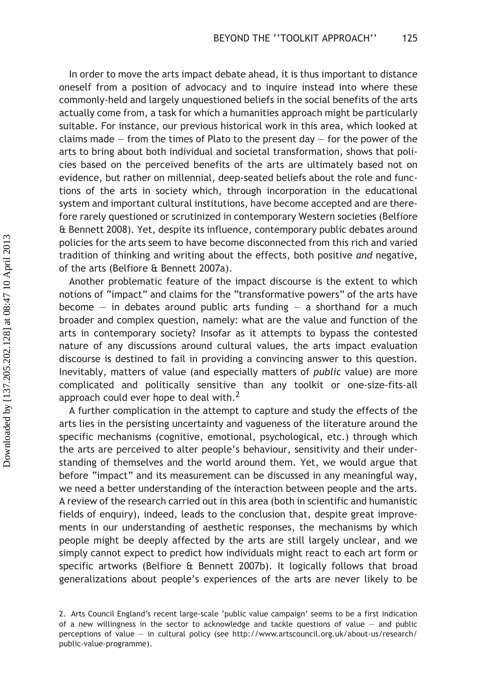In order to move the arts impact debate ahead, it is thus important to distance oneself from a position of advocacy and to inquire instead into where these commonly-held and largely unquestioned beliefs in the social benefits of the arts actually come from, a task for which a humanities approach might be particularly suitable. For instance, our previous historical work in this area, which looked at claims made  $-$  from the times of Plato to the present day  $-$  for the power of the arts to bring about both individual and societal transformation, shows that policies based on the perceived benefits of the arts are ultimately based not on evidence, but rather on millennial, deep-seated beliefs about the role and functions of the arts in society which, through incorporation in the educational system and important cultural institutions, have become accepted and are therefore rarely questioned or scrutinized in contemporary Western societies (Belfiore & Bennett 2008). Yet, despite its influence, contemporary public debates around policies for the arts seem to have become disconnected from this rich and varied tradition of thinking and writing about the effects, both positive *and* negative, of the arts (Belfiore & Bennett 2007a).

Another problematic feature of the impact discourse is the extent to which notions of "impact" and claims for the "transformative powers" of the arts have become  $-$  in debates around public arts funding  $-$  a shorthand for a much broader and complex question, namely: what are the value and function of the arts in contemporary society? Insofar as it attempts to bypass the contested nature of any discussions around cultural values, the arts impact evaluation discourse is destined to fail in providing a convincing answer to this question. Inevitably, matters of value (and especially matters of *public* value) are more complicated and politically sensitive than any toolkit or one-size-fits-all approach could ever hope to deal with.<sup>2</sup>

A further complication in the attempt to capture and study the effects of the arts lies in the persisting uncertainty and vagueness of the literature around the specific mechanisms (cognitive, emotional, psychological, etc.) through which the arts are perceived to alter people's behaviour, sensitivity and their understanding of themselves and the world around them. Yet, we would argue that before "impact" and its measurement can be discussed in any meaningful way, we need a better understanding of the interaction between people and the arts. A review of the research carried out in this area (both in scientific and humanistic fields of enquiry), indeed, leads to the conclusion that, despite great improvements in our understanding of aesthetic responses, the mechanisms by which people might be deeply affected by the arts are still largely unclear, and we simply cannot expect to predict how individuals might react to each art form or specific artworks (Belfiore & Bennett 2007b). It logically follows that broad generalizations about people's experiences of the arts are never likely to be

<sup>2.</sup> Arts Council England's recent large-scale 'public value campaign' seems to be a first indication of a new willingness in the sector to acknowledge and tackle questions of value  $-$  and public perceptions of value — in cultural policy (see http://www.artscouncil.org.uk/about-us/research/ public-value-programme).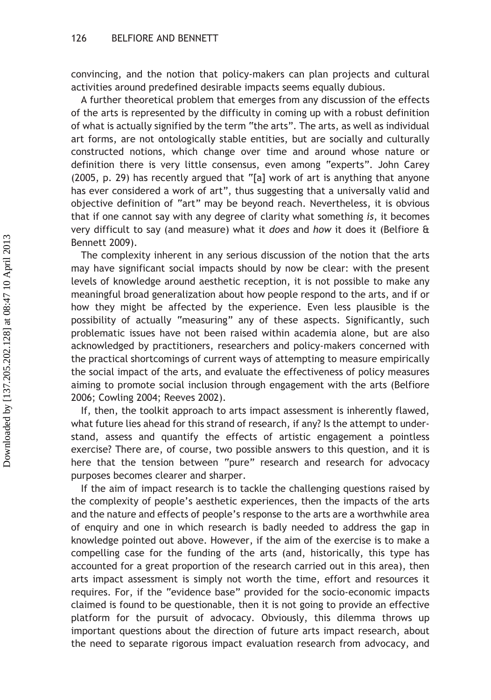convincing, and the notion that policy-makers can plan projects and cultural activities around predefined desirable impacts seems equally dubious.

A further theoretical problem that emerges from any discussion of the effects of the arts is represented by the difficulty in coming up with a robust definition of what is actually signified by the term "the arts". The arts, as well as individual art forms, are not ontologically stable entities, but are socially and culturally constructed notions, which change over time and around whose nature or definition there is very little consensus, even among "experts". John Carey (2005, p. 29) has recently argued that "[a] work of art is anything that anyone has ever considered a work of art", thus suggesting that a universally valid and objective definition of "art" may be beyond reach. Nevertheless, it is obvious that if one cannot say with any degree of clarity what something *is*, it becomes very difficult to say (and measure) what it *does* and *how* it does it (Belfiore & Bennett 2009).

The complexity inherent in any serious discussion of the notion that the arts may have significant social impacts should by now be clear: with the present levels of knowledge around aesthetic reception, it is not possible to make any meaningful broad generalization about how people respond to the arts, and if or how they might be affected by the experience. Even less plausible is the possibility of actually "measuring" any of these aspects. Significantly, such problematic issues have not been raised within academia alone, but are also acknowledged by practitioners, researchers and policy-makers concerned with the practical shortcomings of current ways of attempting to measure empirically the social impact of the arts, and evaluate the effectiveness of policy measures aiming to promote social inclusion through engagement with the arts (Belfiore 2006; Cowling 2004; Reeves 2002).

If, then, the toolkit approach to arts impact assessment is inherently flawed, what future lies ahead for this strand of research, if any? Is the attempt to understand, assess and quantify the effects of artistic engagement a pointless exercise? There are, of course, two possible answers to this question, and it is here that the tension between "pure" research and research for advocacy purposes becomes clearer and sharper.

If the aim of impact research is to tackle the challenging questions raised by the complexity of people's aesthetic experiences, then the impacts of the arts and the nature and effects of people's response to the arts are a worthwhile area of enquiry and one in which research is badly needed to address the gap in knowledge pointed out above. However, if the aim of the exercise is to make a compelling case for the funding of the arts (and, historically, this type has accounted for a great proportion of the research carried out in this area), then arts impact assessment is simply not worth the time, effort and resources it requires. For, if the "evidence base" provided for the socio-economic impacts claimed is found to be questionable, then it is not going to provide an effective platform for the pursuit of advocacy. Obviously, this dilemma throws up important questions about the direction of future arts impact research, about the need to separate rigorous impact evaluation research from advocacy, and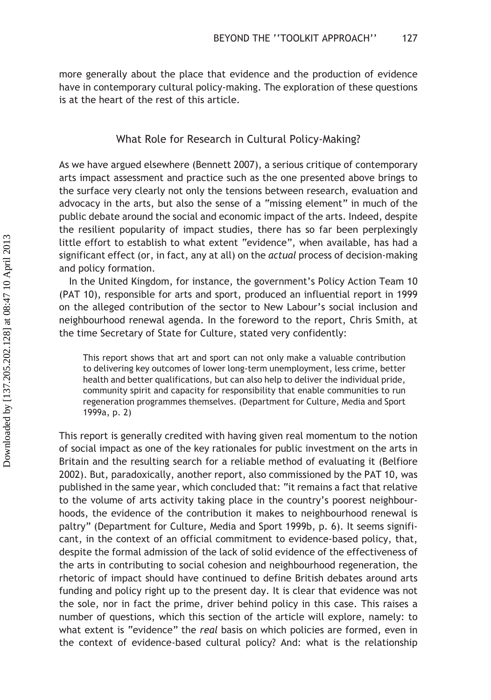more generally about the place that evidence and the production of evidence have in contemporary cultural policy-making. The exploration of these questions is at the heart of the rest of this article.

#### What Role for Research in Cultural Policy-Making?

As we have argued elsewhere (Bennett 2007), a serious critique of contemporary arts impact assessment and practice such as the one presented above brings to the surface very clearly not only the tensions between research, evaluation and advocacy in the arts, but also the sense of a "missing element" in much of the public debate around the social and economic impact of the arts. Indeed, despite the resilient popularity of impact studies, there has so far been perplexingly little effort to establish to what extent "evidence", when available, has had a significant effect (or, in fact, any at all) on the *actual* process of decision-making and policy formation.

In the United Kingdom, for instance, the government's Policy Action Team 10 (PAT 10), responsible for arts and sport, produced an influential report in 1999 on the alleged contribution of the sector to New Labour's social inclusion and neighbourhood renewal agenda. In the foreword to the report, Chris Smith, at the time Secretary of State for Culture, stated very confidently:

This report shows that art and sport can not only make a valuable contribution to delivering key outcomes of lower long-term unemployment, less crime, better health and better qualifications, but can also help to deliver the individual pride, community spirit and capacity for responsibility that enable communities to run regeneration programmes themselves. (Department for Culture, Media and Sport 1999a, p. 2)

This report is generally credited with having given real momentum to the notion of social impact as one of the key rationales for public investment on the arts in Britain and the resulting search for a reliable method of evaluating it (Belfiore 2002). But, paradoxically, another report, also commissioned by the PAT 10, was published in the same year, which concluded that: "it remains a fact that relative to the volume of arts activity taking place in the country's poorest neighbourhoods, the evidence of the contribution it makes to neighbourhood renewal is paltry" (Department for Culture, Media and Sport 1999b, p. 6). It seems significant, in the context of an official commitment to evidence-based policy, that, despite the formal admission of the lack of solid evidence of the effectiveness of the arts in contributing to social cohesion and neighbourhood regeneration, the rhetoric of impact should have continued to define British debates around arts funding and policy right up to the present day. It is clear that evidence was not the sole, nor in fact the prime, driver behind policy in this case. This raises a number of questions, which this section of the article will explore, namely: to what extent is "evidence" the *real* basis on which policies are formed, even in the context of evidence-based cultural policy? And: what is the relationship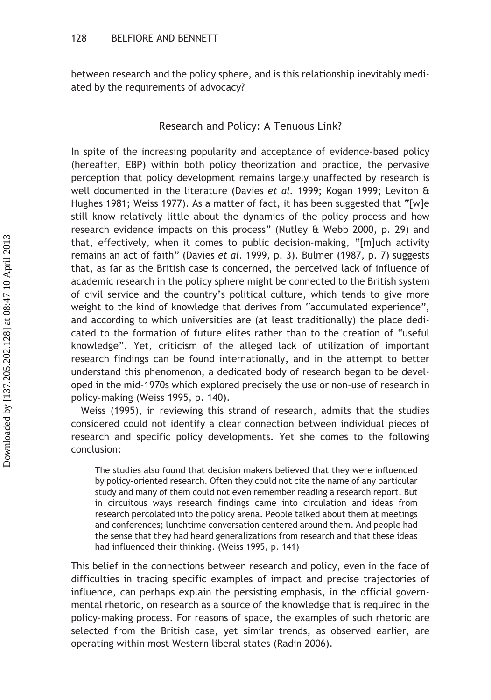between research and the policy sphere, and is this relationship inevitably mediated by the requirements of advocacy?

#### Research and Policy: A Tenuous Link?

In spite of the increasing popularity and acceptance of evidence-based policy (hereafter, EBP) within both policy theorization and practice, the pervasive perception that policy development remains largely unaffected by research is well documented in the literature (Davies *et al.* 1999; Kogan 1999; Leviton & Hughes 1981; Weiss 1977). As a matter of fact, it has been suggested that "[w]e still know relatively little about the dynamics of the policy process and how research evidence impacts on this process" (Nutley & Webb 2000, p. 29) and that, effectively, when it comes to public decision-making, "[m]uch activity remains an act of faith" (Davies *et al.* 1999, p. 3). Bulmer (1987, p. 7) suggests that, as far as the British case is concerned, the perceived lack of influence of academic research in the policy sphere might be connected to the British system of civil service and the country's political culture, which tends to give more weight to the kind of knowledge that derives from "accumulated experience", and according to which universities are (at least traditionally) the place dedicated to the formation of future elites rather than to the creation of "useful knowledge". Yet, criticism of the alleged lack of utilization of important research findings can be found internationally, and in the attempt to better understand this phenomenon, a dedicated body of research began to be developed in the mid-1970s which explored precisely the use or non-use of research in policy-making (Weiss 1995, p. 140).

Weiss (1995), in reviewing this strand of research, admits that the studies considered could not identify a clear connection between individual pieces of research and specific policy developments. Yet she comes to the following conclusion:

The studies also found that decision makers believed that they were influenced by policy-oriented research. Often they could not cite the name of any particular study and many of them could not even remember reading a research report. But in circuitous ways research findings came into circulation and ideas from research percolated into the policy arena. People talked about them at meetings and conferences; lunchtime conversation centered around them. And people had the sense that they had heard generalizations from research and that these ideas had influenced their thinking. (Weiss 1995, p. 141)

This belief in the connections between research and policy, even in the face of difficulties in tracing specific examples of impact and precise trajectories of influence, can perhaps explain the persisting emphasis, in the official governmental rhetoric, on research as a source of the knowledge that is required in the policy-making process. For reasons of space, the examples of such rhetoric are selected from the British case, yet similar trends, as observed earlier, are operating within most Western liberal states (Radin 2006).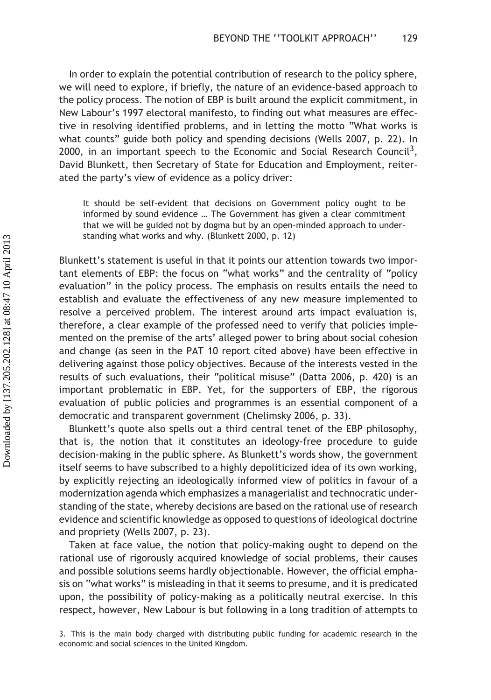In order to explain the potential contribution of research to the policy sphere, we will need to explore, if briefly, the nature of an evidence-based approach to the policy process. The notion of EBP is built around the explicit commitment, in New Labour's 1997 electoral manifesto, to finding out what measures are effective in resolving identified problems, and in letting the motto "What works is what counts" guide both policy and spending decisions (Wells 2007, p. 22). In 2000, in an important speech to the Economic and Social Research Council<sup>3</sup>, David Blunkett, then Secretary of State for Education and Employment, reiterated the party's view of evidence as a policy driver:

It should be self-evident that decisions on Government policy ought to be informed by sound evidence … The Government has given a clear commitment that we will be guided not by dogma but by an open-minded approach to understanding what works and why. (Blunkett 2000, p. 12)

Blunkett's statement is useful in that it points our attention towards two important elements of EBP: the focus on "what works" and the centrality of "policy evaluation" in the policy process. The emphasis on results entails the need to establish and evaluate the effectiveness of any new measure implemented to resolve a perceived problem. The interest around arts impact evaluation is, therefore, a clear example of the professed need to verify that policies implemented on the premise of the arts' alleged power to bring about social cohesion and change (as seen in the PAT 10 report cited above) have been effective in delivering against those policy objectives. Because of the interests vested in the results of such evaluations, their "political misuse" (Datta 2006, p. 420) is an important problematic in EBP. Yet, for the supporters of EBP, the rigorous evaluation of public policies and programmes is an essential component of a democratic and transparent government (Chelimsky 2006, p. 33).

Blunkett's quote also spells out a third central tenet of the EBP philosophy, that is, the notion that it constitutes an ideology-free procedure to guide decision-making in the public sphere. As Blunkett's words show, the government itself seems to have subscribed to a highly depoliticized idea of its own working, by explicitly rejecting an ideologically informed view of politics in favour of a modernization agenda which emphasizes a managerialist and technocratic understanding of the state, whereby decisions are based on the rational use of research evidence and scientific knowledge as opposed to questions of ideological doctrine and propriety (Wells 2007, p. 23).

Taken at face value, the notion that policy-making ought to depend on the rational use of rigorously acquired knowledge of social problems, their causes and possible solutions seems hardly objectionable. However, the official emphasis on "what works" is misleading in that it seems to presume, and it is predicated upon, the possibility of policy-making as a politically neutral exercise. In this respect, however, New Labour is but following in a long tradition of attempts to

3. This is the main body charged with distributing public funding for academic research in the economic and social sciences in the United Kingdom.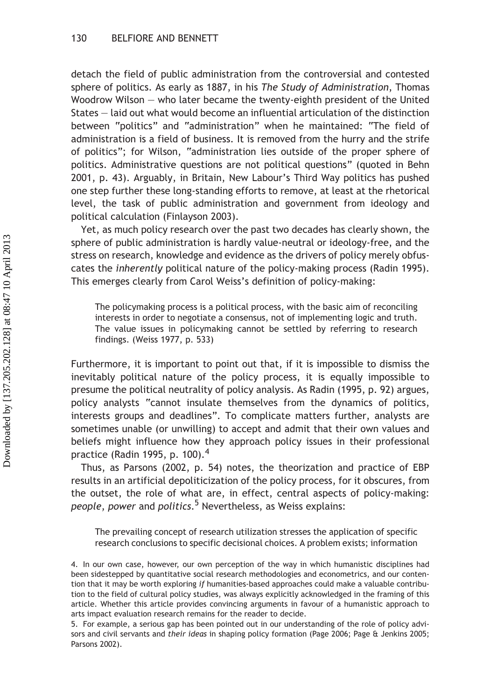detach the field of public administration from the controversial and contested sphere of politics. As early as 1887, in his *The Study of Administration*, Thomas Woodrow Wilson — who later became the twenty-eighth president of the United States — laid out what would become an influential articulation of the distinction between "politics" and "administration" when he maintained: "The field of administration is a field of business. It is removed from the hurry and the strife of politics"; for Wilson, "administration lies outside of the proper sphere of politics. Administrative questions are not political questions" (quoted in Behn 2001, p. 43). Arguably, in Britain, New Labour's Third Way politics has pushed one step further these long-standing efforts to remove, at least at the rhetorical level, the task of public administration and government from ideology and political calculation (Finlayson 2003).

Yet, as much policy research over the past two decades has clearly shown, the sphere of public administration is hardly value-neutral or ideology-free, and the stress on research, knowledge and evidence as the drivers of policy merely obfuscates the *inherently* political nature of the policy-making process (Radin 1995). This emerges clearly from Carol Weiss's definition of policy-making:

The policymaking process is a political process, with the basic aim of reconciling interests in order to negotiate a consensus, not of implementing logic and truth. The value issues in policymaking cannot be settled by referring to research findings. (Weiss 1977, p. 533)

Furthermore, it is important to point out that, if it is impossible to dismiss the inevitably political nature of the policy process, it is equally impossible to presume the political neutrality of policy analysis. As Radin (1995, p. 92) argues, policy analysts "cannot insulate themselves from the dynamics of politics, interests groups and deadlines". To complicate matters further, analysts are sometimes unable (or unwilling) to accept and admit that their own values and beliefs might influence how they approach policy issues in their professional practice (Radin 1995, p. 100).<sup>4</sup>

Thus, as Parsons (2002, p. 54) notes, the theorization and practice of EBP results in an artificial depoliticization of the policy process, for it obscures, from the outset, the role of what are, in effect, central aspects of policy-making: *people*, *power* and *politics*. 5 Nevertheless, as Weiss explains:

The prevailing concept of research utilization stresses the application of specific research conclusions to specific decisional choices. A problem exists; information

4. In our own case, however, our own perception of the way in which humanistic disciplines had been sidestepped by quantitative social research methodologies and econometrics, and our contention that it may be worth exploring *if* humanities-based approaches could make a valuable contribution to the field of cultural policy studies, was always explicitly acknowledged in the framing of this article. Whether this article provides convincing arguments in favour of a humanistic approach to arts impact evaluation research remains for the reader to decide.

5. For example, a serious gap has been pointed out in our understanding of the role of policy advisors and civil servants and *their ideas* in shaping policy formation (Page 2006; Page & Jenkins 2005; Parsons 2002).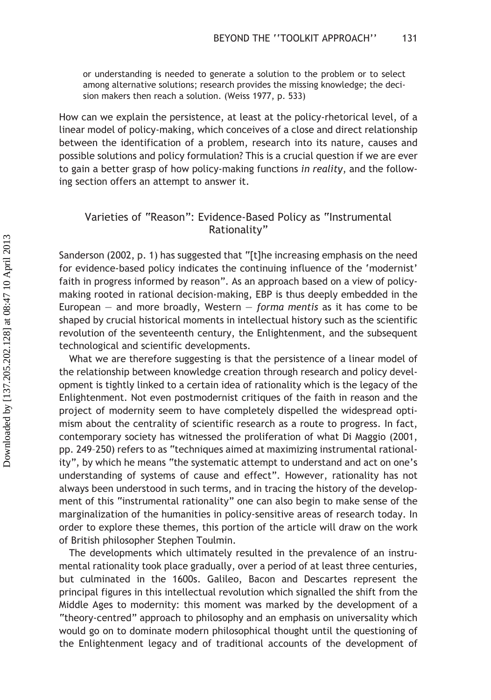or understanding is needed to generate a solution to the problem or to select among alternative solutions; research provides the missing knowledge; the decision makers then reach a solution. (Weiss 1977, p. 533)

How can we explain the persistence, at least at the policy-rhetorical level, of a linear model of policy-making, which conceives of a close and direct relationship between the identification of a problem, research into its nature, causes and possible solutions and policy formulation? This is a crucial question if we are ever to gain a better grasp of how policy-making functions *in reality*, and the following section offers an attempt to answer it.

#### Varieties of "Reason": Evidence-Based Policy as "Instrumental Rationality"

Sanderson (2002, p. 1) has suggested that "[t]he increasing emphasis on the need for evidence-based policy indicates the continuing influence of the 'modernist' faith in progress informed by reason". As an approach based on a view of policymaking rooted in rational decision-making, EBP is thus deeply embedded in the European — and more broadly, Western — *forma mentis* as it has come to be shaped by crucial historical moments in intellectual history such as the scientific revolution of the seventeenth century, the Enlightenment, and the subsequent technological and scientific developments.

What we are therefore suggesting is that the persistence of a linear model of the relationship between knowledge creation through research and policy development is tightly linked to a certain idea of rationality which is the legacy of the Enlightenment. Not even postmodernist critiques of the faith in reason and the project of modernity seem to have completely dispelled the widespread optimism about the centrality of scientific research as a route to progress. In fact, contemporary society has witnessed the proliferation of what Di Maggio (2001, pp. 249–250) refers to as "techniques aimed at maximizing instrumental rationality", by which he means "the systematic attempt to understand and act on one's understanding of systems of cause and effect". However, rationality has not always been understood in such terms, and in tracing the history of the development of this "instrumental rationality" one can also begin to make sense of the marginalization of the humanities in policy-sensitive areas of research today. In order to explore these themes, this portion of the article will draw on the work of British philosopher Stephen Toulmin.

The developments which ultimately resulted in the prevalence of an instrumental rationality took place gradually, over a period of at least three centuries, but culminated in the 1600s. Galileo, Bacon and Descartes represent the principal figures in this intellectual revolution which signalled the shift from the Middle Ages to modernity: this moment was marked by the development of a "theory-centred" approach to philosophy and an emphasis on universality which would go on to dominate modern philosophical thought until the questioning of the Enlightenment legacy and of traditional accounts of the development of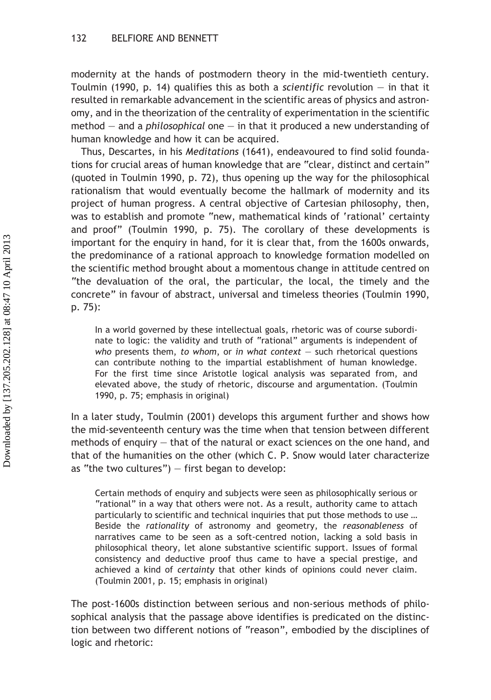modernity at the hands of postmodern theory in the mid-twentieth century. Toulmin (1990, p. 14) qualifies this as both a *scientific* revolution — in that it resulted in remarkable advancement in the scientific areas of physics and astronomy, and in the theorization of the centrality of experimentation in the scientific method — and a *philosophical* one — in that it produced a new understanding of human knowledge and how it can be acquired.

Thus, Descartes, in his *Meditations* (1641), endeavoured to find solid foundations for crucial areas of human knowledge that are "clear, distinct and certain" (quoted in Toulmin 1990, p. 72), thus opening up the way for the philosophical rationalism that would eventually become the hallmark of modernity and its project of human progress. A central objective of Cartesian philosophy, then, was to establish and promote "new, mathematical kinds of 'rational' certainty and proof" (Toulmin 1990, p. 75). The corollary of these developments is important for the enquiry in hand, for it is clear that, from the 1600s onwards, the predominance of a rational approach to knowledge formation modelled on the scientific method brought about a momentous change in attitude centred on "the devaluation of the oral, the particular, the local, the timely and the concrete" in favour of abstract, universal and timeless theories (Toulmin 1990, p. 75):

In a world governed by these intellectual goals, rhetoric was of course subordinate to logic: the validity and truth of "rational" arguments is independent of *who* presents them, *to whom*, or *in what context* — such rhetorical questions can contribute nothing to the impartial establishment of human knowledge. For the first time since Aristotle logical analysis was separated from, and elevated above, the study of rhetoric, discourse and argumentation. (Toulmin 1990, p. 75; emphasis in original)

In a later study, Toulmin (2001) develops this argument further and shows how the mid-seventeenth century was the time when that tension between different methods of enquiry — that of the natural or exact sciences on the one hand, and that of the humanities on the other (which C. P. Snow would later characterize as "the two cultures") — first began to develop:

Certain methods of enquiry and subjects were seen as philosophically serious or "rational" in a way that others were not. As a result, authority came to attach particularly to scientific and technical inquiries that put those methods to use … Beside the *rationality* of astronomy and geometry, the *reasonableness* of narratives came to be seen as a soft-centred notion, lacking a sold basis in philosophical theory, let alone substantive scientific support. Issues of formal consistency and deductive proof thus came to have a special prestige, and achieved a kind of *certainty* that other kinds of opinions could never claim. (Toulmin 2001, p. 15; emphasis in original)

The post-1600s distinction between serious and non-serious methods of philosophical analysis that the passage above identifies is predicated on the distinction between two different notions of "reason", embodied by the disciplines of logic and rhetoric: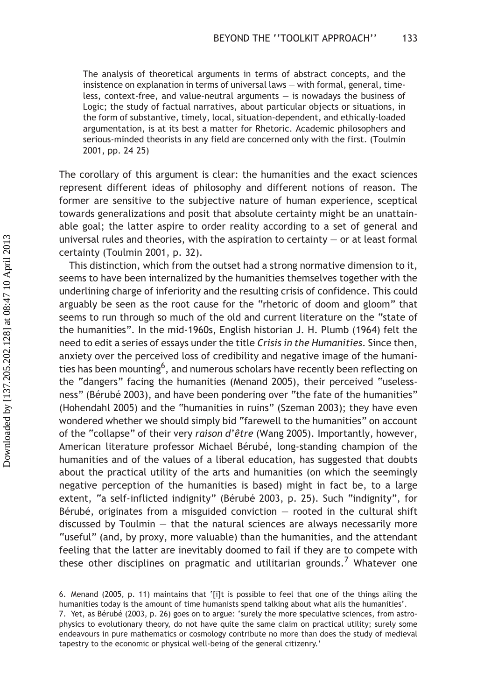The analysis of theoretical arguments in terms of abstract concepts, and the insistence on explanation in terms of universal laws — with formal, general, timeless, context-free, and value-neutral arguments — is nowadays the business of Logic; the study of factual narratives, about particular objects or situations, in the form of substantive, timely, local, situation-dependent, and ethically-loaded argumentation, is at its best a matter for Rhetoric. Academic philosophers and serious-minded theorists in any field are concerned only with the first. (Toulmin 2001, pp. 24–25)

The corollary of this argument is clear: the humanities and the exact sciences represent different ideas of philosophy and different notions of reason. The former are sensitive to the subjective nature of human experience, sceptical towards generalizations and posit that absolute certainty might be an unattainable goal; the latter aspire to order reality according to a set of general and universal rules and theories, with the aspiration to certainty  $-$  or at least formal certainty (Toulmin 2001, p. 32).

This distinction, which from the outset had a strong normative dimension to it, seems to have been internalized by the humanities themselves together with the underlining charge of inferiority and the resulting crisis of confidence. This could arguably be seen as the root cause for the "rhetoric of doom and gloom" that seems to run through so much of the old and current literature on the "state of the humanities". In the mid-1960s, English historian J. H. Plumb (1964) felt the need to edit a series of essays under the title *Crisis in the Humanities*. Since then, anxiety over the perceived loss of credibility and negative image of the humanities has been mounting<sup>6</sup>, and numerous scholars have recently been reflecting on the "dangers" facing the humanities (Menand 2005), their perceived "uselessness" (Bérubé 2003), and have been pondering over "the fate of the humanities" (Hohendahl 2005) and the "humanities in ruins" (Szeman 2003); they have even wondered whether we should simply bid "farewell to the humanities" on account of the "collapse" of their very *raison d'être* (Wang 2005). Importantly, however, American literature professor Michael Bérubé, long-standing champion of the humanities and of the values of a liberal education, has suggested that doubts about the practical utility of the arts and humanities (on which the seemingly negative perception of the humanities is based) might in fact be, to a large extent, "a self-inflicted indignity" (Bérubé 2003, p. 25). Such "indignity", for Bérubé, originates from a misguided conviction — rooted in the cultural shift discussed by Toulmin — that the natural sciences are always necessarily more "useful" (and, by proxy, more valuable) than the humanities, and the attendant feeling that the latter are inevitably doomed to fail if they are to compete with these other disciplines on pragmatic and utilitarian grounds.<sup>7</sup> Whatever one

<sup>6.</sup> Menand (2005, p. 11) maintains that '[i]t is possible to feel that one of the things ailing the humanities today is the amount of time humanists spend talking about what ails the humanities'.

<sup>7.</sup> Yet, as Bérubé (2003, p. 26) goes on to argue: 'surely the more speculative sciences, from astrophysics to evolutionary theory, do not have quite the same claim on practical utility; surely some endeavours in pure mathematics or cosmology contribute no more than does the study of medieval tapestry to the economic or physical well-being of the general citizenry.'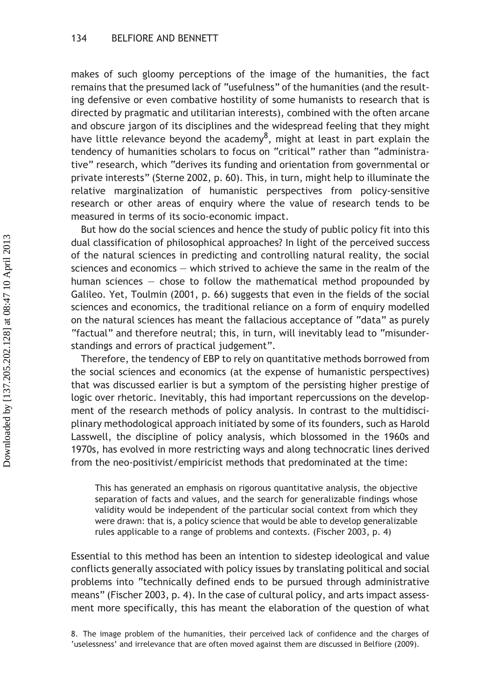makes of such gloomy perceptions of the image of the humanities, the fact remains that the presumed lack of "usefulness" of the humanities (and the resulting defensive or even combative hostility of some humanists to research that is directed by pragmatic and utilitarian interests), combined with the often arcane and obscure jargon of its disciplines and the widespread feeling that they might have little relevance beyond the academy<sup>8</sup>, might at least in part explain the tendency of humanities scholars to focus on "critical" rather than "administrative" research, which "derives its funding and orientation from governmental or private interests" (Sterne 2002, p. 60). This, in turn, might help to illuminate the relative marginalization of humanistic perspectives from policy-sensitive research or other areas of enquiry where the value of research tends to be measured in terms of its socio-economic impact.

But how do the social sciences and hence the study of public policy fit into this dual classification of philosophical approaches? In light of the perceived success of the natural sciences in predicting and controlling natural reality, the social sciences and economics — which strived to achieve the same in the realm of the human sciences — chose to follow the mathematical method propounded by Galileo. Yet, Toulmin (2001, p. 66) suggests that even in the fields of the social sciences and economics, the traditional reliance on a form of enquiry modelled on the natural sciences has meant the fallacious acceptance of "data" as purely "factual" and therefore neutral; this, in turn, will inevitably lead to "misunderstandings and errors of practical judgement".

Therefore, the tendency of EBP to rely on quantitative methods borrowed from the social sciences and economics (at the expense of humanistic perspectives) that was discussed earlier is but a symptom of the persisting higher prestige of logic over rhetoric. Inevitably, this had important repercussions on the development of the research methods of policy analysis. In contrast to the multidisciplinary methodological approach initiated by some of its founders, such as Harold Lasswell, the discipline of policy analysis, which blossomed in the 1960s and 1970s, has evolved in more restricting ways and along technocratic lines derived from the neo-positivist/empiricist methods that predominated at the time:

This has generated an emphasis on rigorous quantitative analysis, the objective separation of facts and values, and the search for generalizable findings whose validity would be independent of the particular social context from which they were drawn: that is, a policy science that would be able to develop generalizable rules applicable to a range of problems and contexts. (Fischer 2003, p. 4)

Essential to this method has been an intention to sidestep ideological and value conflicts generally associated with policy issues by translating political and social problems into "technically defined ends to be pursued through administrative means" (Fischer 2003, p. 4). In the case of cultural policy, and arts impact assessment more specifically, this has meant the elaboration of the question of what

8. The image problem of the humanities, their perceived lack of confidence and the charges of 'uselessness' and irrelevance that are often moved against them are discussed in Belfiore (2009).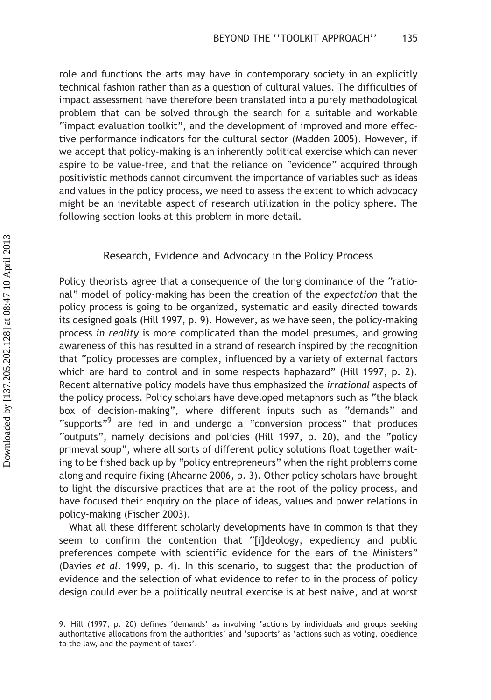role and functions the arts may have in contemporary society in an explicitly technical fashion rather than as a question of cultural values. The difficulties of impact assessment have therefore been translated into a purely methodological problem that can be solved through the search for a suitable and workable "impact evaluation toolkit", and the development of improved and more effective performance indicators for the cultural sector (Madden 2005). However, if we accept that policy-making is an inherently political exercise which can never aspire to be value-free, and that the reliance on "evidence" acquired through positivistic methods cannot circumvent the importance of variables such as ideas and values in the policy process, we need to assess the extent to which advocacy might be an inevitable aspect of research utilization in the policy sphere. The following section looks at this problem in more detail.

#### Research, Evidence and Advocacy in the Policy Process

Policy theorists agree that a consequence of the long dominance of the "rational" model of policy-making has been the creation of the *expectation* that the policy process is going to be organized, systematic and easily directed towards its designed goals (Hill 1997, p. 9). However, as we have seen, the policy-making process *in reality* is more complicated than the model presumes, and growing awareness of this has resulted in a strand of research inspired by the recognition that "policy processes are complex, influenced by a variety of external factors which are hard to control and in some respects haphazard" (Hill 1997, p. 2). Recent alternative policy models have thus emphasized the *irrational* aspects of the policy process. Policy scholars have developed metaphors such as "the black box of decision-making", where different inputs such as "demands" and "supports"<sup>9</sup> are fed in and undergo a "conversion process" that produces "outputs", namely decisions and policies (Hill 1997, p. 20), and the "policy primeval soup", where all sorts of different policy solutions float together waiting to be fished back up by "policy entrepreneurs" when the right problems come along and require fixing (Ahearne 2006, p. 3). Other policy scholars have brought to light the discursive practices that are at the root of the policy process, and have focused their enquiry on the place of ideas, values and power relations in policy-making (Fischer 2003).

What all these different scholarly developments have in common is that they seem to confirm the contention that "[i]deology, expediency and public preferences compete with scientific evidence for the ears of the Ministers" (Davies *et al.* 1999, p. 4). In this scenario, to suggest that the production of evidence and the selection of what evidence to refer to in the process of policy design could ever be a politically neutral exercise is at best naive, and at worst

<sup>9.</sup> Hill (1997, p. 20) defines 'demands' as involving 'actions by individuals and groups seeking authoritative allocations from the authorities' and 'supports' as 'actions such as voting, obedience to the law, and the payment of taxes'.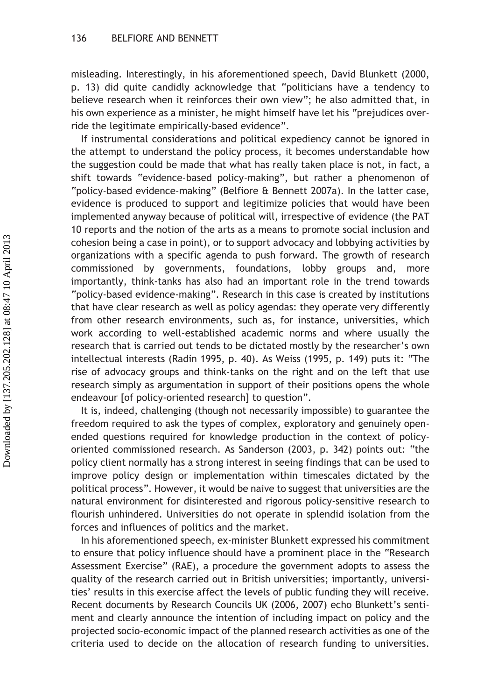misleading. Interestingly, in his aforementioned speech, David Blunkett (2000, p. 13) did quite candidly acknowledge that "politicians have a tendency to believe research when it reinforces their own view"; he also admitted that, in his own experience as a minister, he might himself have let his "prejudices override the legitimate empirically-based evidence".

If instrumental considerations and political expediency cannot be ignored in the attempt to understand the policy process, it becomes understandable how the suggestion could be made that what has really taken place is not, in fact, a shift towards "evidence-based policy-making", but rather a phenomenon of "policy-based evidence-making" (Belfiore & Bennett 2007a). In the latter case, evidence is produced to support and legitimize policies that would have been implemented anyway because of political will, irrespective of evidence (the PAT 10 reports and the notion of the arts as a means to promote social inclusion and cohesion being a case in point), or to support advocacy and lobbying activities by organizations with a specific agenda to push forward. The growth of research commissioned by governments, foundations, lobby groups and, more importantly, think-tanks has also had an important role in the trend towards "policy-based evidence-making". Research in this case is created by institutions that have clear research as well as policy agendas: they operate very differently from other research environments, such as, for instance, universities, which work according to well-established academic norms and where usually the research that is carried out tends to be dictated mostly by the researcher's own intellectual interests (Radin 1995, p. 40). As Weiss (1995, p. 149) puts it: "The rise of advocacy groups and think-tanks on the right and on the left that use research simply as argumentation in support of their positions opens the whole endeavour [of policy-oriented research] to question".

It is, indeed, challenging (though not necessarily impossible) to guarantee the freedom required to ask the types of complex, exploratory and genuinely openended questions required for knowledge production in the context of policyoriented commissioned research. As Sanderson (2003, p. 342) points out: "the policy client normally has a strong interest in seeing findings that can be used to improve policy design or implementation within timescales dictated by the political process". However, it would be naive to suggest that universities are the natural environment for disinterested and rigorous policy-sensitive research to flourish unhindered. Universities do not operate in splendid isolation from the forces and influences of politics and the market.

In his aforementioned speech, ex-minister Blunkett expressed his commitment to ensure that policy influence should have a prominent place in the "Research Assessment Exercise" (RAE), a procedure the government adopts to assess the quality of the research carried out in British universities; importantly, universities' results in this exercise affect the levels of public funding they will receive. Recent documents by Research Councils UK (2006, 2007) echo Blunkett's sentiment and clearly announce the intention of including impact on policy and the projected socio-economic impact of the planned research activities as one of the criteria used to decide on the allocation of research funding to universities.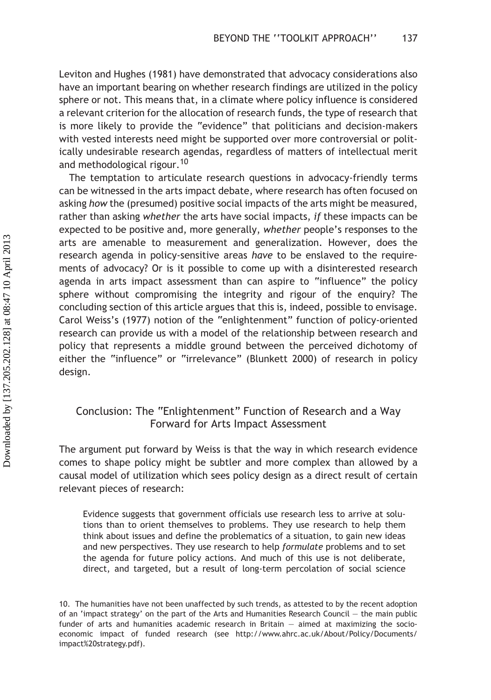Leviton and Hughes (1981) have demonstrated that advocacy considerations also have an important bearing on whether research findings are utilized in the policy sphere or not. This means that, in a climate where policy influence is considered a relevant criterion for the allocation of research funds, the type of research that is more likely to provide the "evidence" that politicians and decision-makers with vested interests need might be supported over more controversial or politically undesirable research agendas, regardless of matters of intellectual merit and methodological rigour.<sup>10</sup>

The temptation to articulate research questions in advocacy-friendly terms can be witnessed in the arts impact debate, where research has often focused on asking *how* the (presumed) positive social impacts of the arts might be measured, rather than asking *whether* the arts have social impacts, *if* these impacts can be expected to be positive and, more generally, *whether* people's responses to the arts are amenable to measurement and generalization. However, does the research agenda in policy-sensitive areas *have* to be enslaved to the requirements of advocacy? Or is it possible to come up with a disinterested research agenda in arts impact assessment than can aspire to "influence" the policy sphere without compromising the integrity and rigour of the enquiry? The concluding section of this article argues that this is, indeed, possible to envisage. Carol Weiss's (1977) notion of the "enlightenment" function of policy-oriented research can provide us with a model of the relationship between research and policy that represents a middle ground between the perceived dichotomy of either the "influence" or "irrelevance" (Blunkett 2000) of research in policy design.

## Conclusion: The "Enlightenment" Function of Research and a Way Forward for Arts Impact Assessment

The argument put forward by Weiss is that the way in which research evidence comes to shape policy might be subtler and more complex than allowed by a causal model of utilization which sees policy design as a direct result of certain relevant pieces of research:

Evidence suggests that government officials use research less to arrive at solutions than to orient themselves to problems. They use research to help them think about issues and define the problematics of a situation, to gain new ideas and new perspectives. They use research to help *formulate* problems and to set the agenda for future policy actions. And much of this use is not deliberate, direct, and targeted, but a result of long-term percolation of social science

<sup>10.</sup> The humanities have not been unaffected by such trends, as attested to by the recent adoption of an 'impact strategy' on the part of the Arts and Humanities Research Council — the main public funder of arts and humanities academic research in Britain — aimed at maximizing the socioeconomic impact of funded research (see http://www.ahrc.ac.uk/About/Policy/Documents/ impact%20strategy.pdf).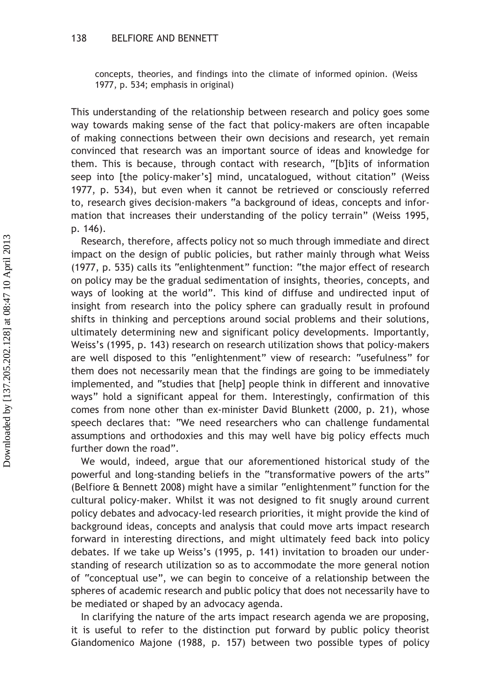concepts, theories, and findings into the climate of informed opinion. (Weiss 1977, p. 534; emphasis in original)

This understanding of the relationship between research and policy goes some way towards making sense of the fact that policy-makers are often incapable of making connections between their own decisions and research, yet remain convinced that research was an important source of ideas and knowledge for them. This is because, through contact with research, "[b]its of information seep into [the policy-maker's] mind, uncatalogued, without citation" (Weiss 1977, p. 534), but even when it cannot be retrieved or consciously referred to, research gives decision-makers "a background of ideas, concepts and information that increases their understanding of the policy terrain" (Weiss 1995, p. 146).

Research, therefore, affects policy not so much through immediate and direct impact on the design of public policies, but rather mainly through what Weiss (1977, p. 535) calls its "enlightenment" function: "the major effect of research on policy may be the gradual sedimentation of insights, theories, concepts, and ways of looking at the world". This kind of diffuse and undirected input of insight from research into the policy sphere can gradually result in profound shifts in thinking and perceptions around social problems and their solutions, ultimately determining new and significant policy developments. Importantly, Weiss's (1995, p. 143) research on research utilization shows that policy-makers are well disposed to this "enlightenment" view of research: "usefulness" for them does not necessarily mean that the findings are going to be immediately implemented, and "studies that [help] people think in different and innovative ways" hold a significant appeal for them. Interestingly, confirmation of this comes from none other than ex-minister David Blunkett (2000, p. 21), whose speech declares that: "We need researchers who can challenge fundamental assumptions and orthodoxies and this may well have big policy effects much further down the road".

We would, indeed, argue that our aforementioned historical study of the powerful and long-standing beliefs in the "transformative powers of the arts" (Belfiore & Bennett 2008) might have a similar "enlightenment" function for the cultural policy-maker. Whilst it was not designed to fit snugly around current policy debates and advocacy-led research priorities, it might provide the kind of background ideas, concepts and analysis that could move arts impact research forward in interesting directions, and might ultimately feed back into policy debates. If we take up Weiss's (1995, p. 141) invitation to broaden our understanding of research utilization so as to accommodate the more general notion of "conceptual use", we can begin to conceive of a relationship between the spheres of academic research and public policy that does not necessarily have to be mediated or shaped by an advocacy agenda.

In clarifying the nature of the arts impact research agenda we are proposing, it is useful to refer to the distinction put forward by public policy theorist Giandomenico Majone (1988, p. 157) between two possible types of policy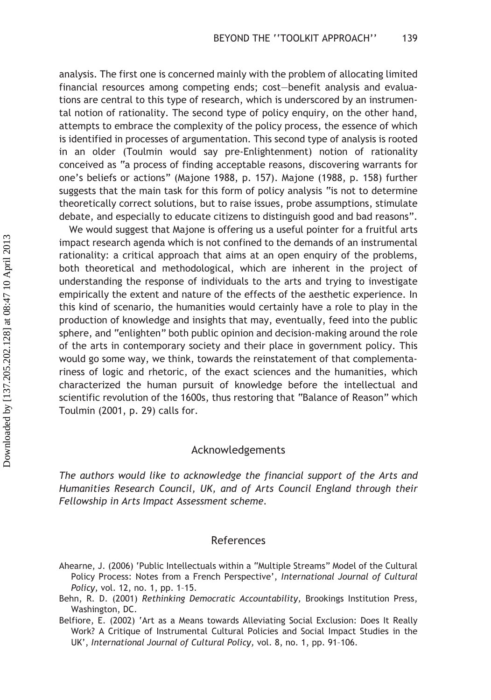analysis. The first one is concerned mainly with the problem of allocating limited financial resources among competing ends; cost—benefit analysis and evaluations are central to this type of research, which is underscored by an instrumental notion of rationality. The second type of policy enquiry, on the other hand, attempts to embrace the complexity of the policy process, the essence of which is identified in processes of argumentation. This second type of analysis is rooted in an older (Toulmin would say pre-Enlightenment) notion of rationality conceived as "a process of finding acceptable reasons, discovering warrants for one's beliefs or actions" (Majone 1988, p. 157). Majone (1988, p. 158) further suggests that the main task for this form of policy analysis "is not to determine theoretically correct solutions, but to raise issues, probe assumptions, stimulate debate, and especially to educate citizens to distinguish good and bad reasons".

We would suggest that Majone is offering us a useful pointer for a fruitful arts impact research agenda which is not confined to the demands of an instrumental rationality: a critical approach that aims at an open enquiry of the problems, both theoretical and methodological, which are inherent in the project of understanding the response of individuals to the arts and trying to investigate empirically the extent and nature of the effects of the aesthetic experience. In this kind of scenario, the humanities would certainly have a role to play in the production of knowledge and insights that may, eventually, feed into the public sphere, and "enlighten" both public opinion and decision-making around the role of the arts in contemporary society and their place in government policy. This would go some way, we think, towards the reinstatement of that complementariness of logic and rhetoric, of the exact sciences and the humanities, which characterized the human pursuit of knowledge before the intellectual and scientific revolution of the 1600s, thus restoring that "Balance of Reason" which Toulmin (2001, p. 29) calls for.

#### Acknowledgements

*The authors would like to acknowledge the financial support of the Arts and Humanities Research Council, UK, and of Arts Council England through their Fellowship in Arts Impact Assessment scheme.*

#### References

Ahearne, J. (2006) 'Public Intellectuals within a "Multiple Streams" Model of the Cultural Policy Process: Notes from a French Perspective', *International Journal of Cultural Policy,* vol. 12, no. 1, pp. 1–15.

Behn, R. D. (2001) *Rethinking Democratic Accountability,* Brookings Institution Press, Washington, DC.

Belfiore, E. (2002) 'Art as a Means towards Alleviating Social Exclusion: Does It Really Work? A Critique of Instrumental Cultural Policies and Social Impact Studies in the UK', *International Journal of Cultural Policy,* vol. 8, no. 1, pp. 91–106.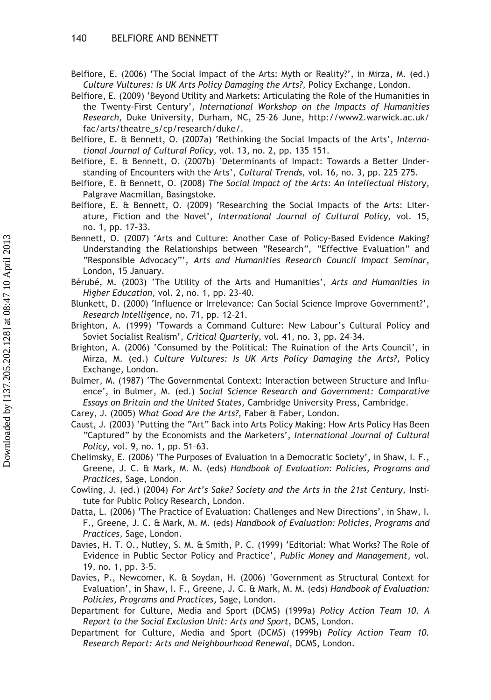- Belfiore, E. (2006) 'The Social Impact of the Arts: Myth or Reality?', in Mirza, M. (ed.) *Culture Vultures: Is UK Arts Policy Damaging the Arts?,* Policy Exchange, London.
- Belfiore, E. (2009) 'Beyond Utility and Markets: Articulating the Role of the Humanities in the Twenty-First Century', *International Workshop on the Impacts of Humanities Research,* Duke University, Durham, NC, 25–26 June, http://www2.warwick.ac.uk/ fac/arts/theatre\_s/cp/research/duke/.
- Belfiore, E. & Bennett, O. (2007a) 'Rethinking the Social Impacts of the Arts', *International Journal of Cultural Policy,* vol. 13, no. 2, pp. 135–151.
- Belfiore, E. & Bennett, O. (2007b) 'Determinants of Impact: Towards a Better Understanding of Encounters with the Arts', *Cultural Trends,* vol. 16, no. 3, pp. 225–275.
- Belfiore, E. & Bennett, O. (2008) *The Social Impact of the Arts: An Intellectual History,* Palgrave Macmillan, Basingstoke.
- Belfiore, E. & Bennett, O. (2009) 'Researching the Social Impacts of the Arts: Literature, Fiction and the Novel', *International Journal of Cultural Policy,* vol. 15, no. 1, pp. 17–33.
- Bennett, O. (2007) 'Arts and Culture: Another Case of Policy-Based Evidence Making? Understanding the Relationships between "Research", "Effective Evaluation" and "Responsible Advocacy"', *Arts and Humanities Research Council Impact Seminar,* London, 15 January.
- Bérubé, M. (2003) 'The Utility of the Arts and Humanities', *Arts and Humanities in Higher Education,* vol. 2, no. 1, pp. 23–40.
- Blunkett, D. (2000) 'Influence or Irrelevance: Can Social Science Improve Government?', *Research Intelligence,* no. 71, pp. 12–21.
- Brighton, A. (1999) 'Towards a Command Culture: New Labour's Cultural Policy and Soviet Socialist Realism', *Critical Quarterly,* vol. 41, no. 3, pp. 24–34.
- Brighton, A. (2006) 'Consumed by the Political: The Ruination of the Arts Council', in Mirza, M. (ed.) *Culture Vultures: Is UK Arts Policy Damaging the Arts?,* Policy Exchange, London.
- Bulmer, M. (1987) 'The Governmental Context: Interaction between Structure and Influence', in Bulmer, M. (ed.) *Social Science Research and Government: Comparative Essays on Britain and the United States,* Cambridge University Press, Cambridge.
- Carey, J. (2005) *What Good Are the Arts?,* Faber & Faber, London.
- Caust, J. (2003) 'Putting the "Art" Back into Arts Policy Making: How Arts Policy Has Been "Captured" by the Economists and the Marketers', *International Journal of Cultural Policy,* vol. 9, no. 1, pp. 51–63.
- Chelimsky, E. (2006) 'The Purposes of Evaluation in a Democratic Society', in Shaw, I. F., Greene, J. C. & Mark, M. M. (eds) *Handbook of Evaluation: Policies, Programs and Practices,* Sage, London.
- Cowling, J. (ed.) (2004) *For Art's Sake? Society and the Arts in the 21st Century,* Institute for Public Policy Research, London.
- Datta, L. (2006) 'The Practice of Evaluation: Challenges and New Directions', in Shaw, I. F., Greene, J. C. & Mark, M. M. (eds) *Handbook of Evaluation: Policies, Programs and Practices,* Sage, London.
- Davies, H. T. O., Nutley, S. M. & Smith, P. C. (1999) 'Editorial: What Works? The Role of Evidence in Public Sector Policy and Practice', *Public Money and Management,* vol. 19, no. 1, pp. 3–5.
- Davies, P., Newcomer, K. & Soydan, H. (2006) 'Government as Structural Context for Evaluation', in Shaw, I. F., Greene, J. C. & Mark, M. M. (eds) *Handbook of Evaluation: Policies, Programs and Practices,* Sage, London.
- Department for Culture, Media and Sport (DCMS) (1999a) *Policy Action Team 10. A Report to the Social Exclusion Unit: Arts and Sport,* DCMS, London.
- Department for Culture, Media and Sport (DCMS) (1999b) *Policy Action Team 10. Research Report: Arts and Neighbourhood Renewal,* DCMS, London.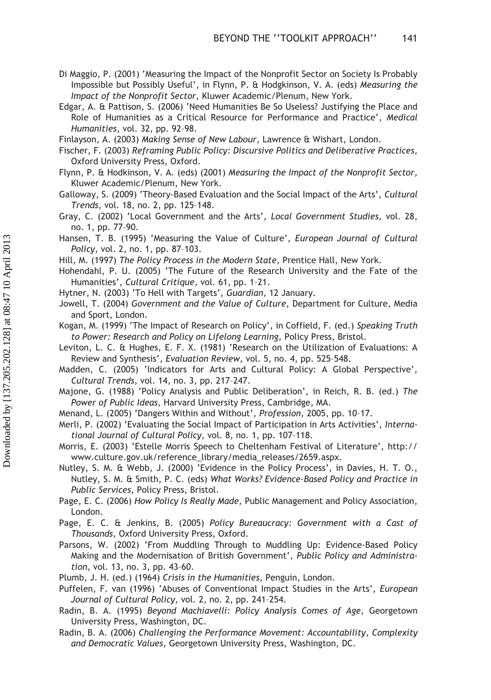Di Maggio, P. (2001) 'Measuring the Impact of the Nonprofit Sector on Society Is Probably Impossible but Possibly Useful', in Flynn, P. & Hodgkinson, V. A. (eds) *Measuring the Impact of the Nonprofit Sector,* Kluwer Academic/Plenum, New York.

Edgar, A. & Pattison, S. (2006) 'Need Humanities Be So Useless? Justifying the Place and Role of Humanities as a Critical Resource for Performance and Practice', *Medical Humanities,* vol. 32, pp. 92–98.

Finlayson, A. (2003) *Making Sense of New Labour,* Lawrence & Wishart, London.

- Fischer, F. (2003) *Reframing Public Policy: Discursive Politics and Deliberative Practices,* Oxford University Press, Oxford.
- Flynn, P. & Hodkinson, V. A. (eds) (2001) *Measuring the Impact of the Nonprofit Sector,* Kluwer Academic/Plenum, New York.
- Galloway, S. (2009) 'Theory-Based Evaluation and the Social Impact of the Arts', *Cultural Trends,* vol. 18, no. 2, pp. 125–148.
- Gray, C. (2002) 'Local Government and the Arts', *Local Government Studies,* vol. 28, no. 1, pp. 77–90.
- Hansen, T. B. (1995) 'Measuring the Value of Culture', *European Journal of Cultural Policy,* vol. 2, no. 1, pp. 87–103.
- Hill, M. (1997) *The Policy Process in the Modern State,* Prentice Hall, New York.
- Hohendahl, P. U. (2005) 'The Future of the Research University and the Fate of the Humanities', *Cultural Critique,* vol. 61, pp. 1–21.
- Hytner, N. (2003) 'To Hell with Targets', *Guardian,* 12 January.
- Jowell, T. (2004) *Government and the Value of Culture,* Department for Culture, Media and Sport, London.
- Kogan, M. (1999) 'The Impact of Research on Policy', in Coffield, F. (ed.) *Speaking Truth to Power: Research and Policy on Lifelong Learning,* Policy Press, Bristol.
- Leviton, L. C. & Hughes, E. F. X. (1981) 'Research on the Utilization of Evaluations: A Review and Synthesis', *Evaluation Review,* vol. 5, no. 4, pp. 525–548.
- Madden, C. (2005) 'Indicators for Arts and Cultural Policy: A Global Perspective', *Cultural Trends,* vol. 14, no. 3, pp. 217–247.
- Majone, G. (1988) 'Policy Analysis and Public Deliberation', in Reich, R. B. (ed.) *The Power of Public Ideas,* Harvard University Press, Cambridge, MA.
- Menand, L. (2005) 'Dangers Within and Without', *Profession,* 2005, pp. 10–17.
- Merli, P. (2002) 'Evaluating the Social Impact of Participation in Arts Activities', *International Journal of Cultural Policy,* vol. 8, no. 1, pp. 107–118.
- Morris, E. (2003) 'Estelle Morris Speech to Cheltenham Festival of Literature', http:// www.culture.gov.uk/reference\_library/media\_releases/2659.aspx.
- Nutley, S. M. & Webb, J. (2000) 'Evidence in the Policy Process', in Davies, H. T. O., Nutley, S. M. & Smith, P. C. (eds) *What Works? Evidence-Based Policy and Practice in Public Services,* Policy Press, Bristol.
- Page, E. C. (2006) *How Policy Is Really Made,* Public Management and Policy Association, London.
- Page, E. C. & Jenkins, B. (2005) *Policy Bureaucracy: Government with a Cast of Thousands,* Oxford University Press, Oxford.
- Parsons, W. (2002) 'From Muddling Through to Muddling Up: Evidence-Based Policy Making and the Modernisation of British Government', *Public Policy and Administration,* vol. 13, no. 3, pp. 43–60.
- Plumb, J. H. (ed.) (1964) *Crisis in the Humanities,* Penguin, London.
- Puffelen, F. van (1996) 'Abuses of Conventional Impact Studies in the Arts', *European Journal of Cultural Policy,* vol. 2, no. 2, pp. 241–254.
- Radin, B. A. (1995) *Beyond Machiavelli: Policy Analysis Comes of Age,* Georgetown University Press, Washington, DC.
- Radin, B. A. (2006) *Challenging the Performance Movement: Accountability, Complexity and Democratic Values,* Georgetown University Press, Washington, DC.